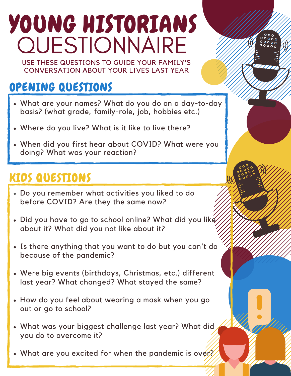# YOUNG HISTORIANS **QUESTIONNAIRE**

USE THESE QUESTIONS TO GUIDE YOUR FAMILY'S CONVERSATION ABOUT YOUR LIVES LAST YEAR

### OPENING QUESTIONS

- What are your names? What do you do on a day-to-day basis? (what grade, family-role, job, hobbies etc.)
- Where do you live? What is it like to live there?
- When did you first hear about COVID? What were you doing? What was your reaction?

#### KIDS QUESTIONS

- Do you remember what activities you liked to do before COVID? Are they the same now?
- . Did you have to go to school online? What did you like about it? What did you not like about it?
- Is there anything that you want to do but you can't do because of the pandemic?
- Were big events (birthdays, Christmas, etc.) different last year? What changed? What stayed the same?
- How do you feel about wearing a mask when you go out or go to school?
- What was your biggest challenge last year? What did you do to overcome it?
- What are you excited for when the pandemic is over?